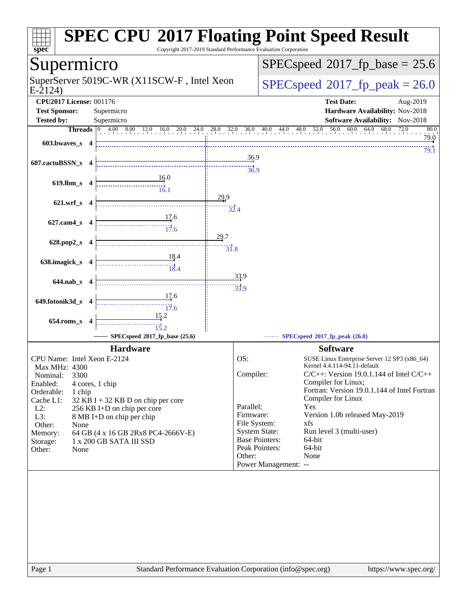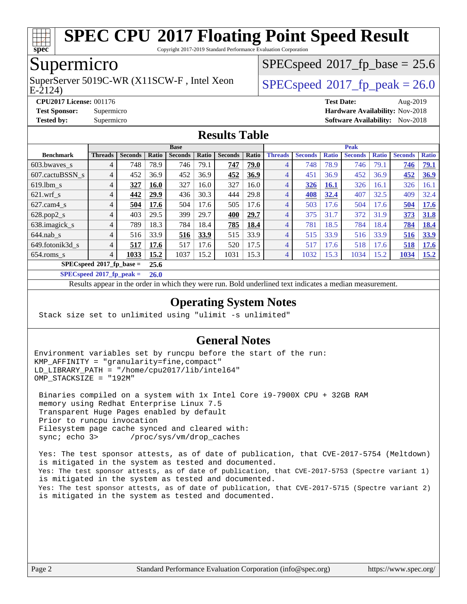

Copyright 2017-2019 Standard Performance Evaluation Corporation

### Supermicro

E-2124) SuperServer 5019C-WR (X11SCW-F, Intel Xeon  $SPEC speed^{\circ}2017$  fp\_peak = 26.0

 $SPECspeed*2017_fp\_base = 25.6$  $SPECspeed*2017_fp\_base = 25.6$ 

**[CPU2017 License:](http://www.spec.org/auto/cpu2017/Docs/result-fields.html#CPU2017License)** 001176 **[Test Date:](http://www.spec.org/auto/cpu2017/Docs/result-fields.html#TestDate)** Aug-2019

**[Test Sponsor:](http://www.spec.org/auto/cpu2017/Docs/result-fields.html#TestSponsor)** Supermicro **[Hardware Availability:](http://www.spec.org/auto/cpu2017/Docs/result-fields.html#HardwareAvailability)** Nov-2018

**[Tested by:](http://www.spec.org/auto/cpu2017/Docs/result-fields.html#Testedby)** Supermicro [Software Availability:](http://www.spec.org/auto/cpu2017/Docs/result-fields.html#SoftwareAvailability) Nov-2018

#### **[Results Table](http://www.spec.org/auto/cpu2017/Docs/result-fields.html#ResultsTable)**

|                                   | <b>Base</b>    |                |             |                |       |                |       | <b>Peak</b>    |                |              |                |              |                |              |
|-----------------------------------|----------------|----------------|-------------|----------------|-------|----------------|-------|----------------|----------------|--------------|----------------|--------------|----------------|--------------|
| <b>Benchmark</b>                  | <b>Threads</b> | <b>Seconds</b> | Ratio       | <b>Seconds</b> | Ratio | <b>Seconds</b> | Ratio | <b>Threads</b> | <b>Seconds</b> | <b>Ratio</b> | <b>Seconds</b> | <b>Ratio</b> | <b>Seconds</b> | <b>Ratio</b> |
| $603.bwaves$ s                    | 4              | 748            | 78.9        | 746            | 79.1  | 747            | 79.0  |                | 748            | 78.9         | 746            | 79.1         | 746            | 79.1         |
| 607.cactuBSSN s                   | 4              | 452            | 36.9        | 452            | 36.9  | 452            | 36.9  | 4              | 451            | 36.9         | 452            | 36.9         | 452            | 36.9         |
| $619$ .lbm s                      | 4              | 327            | <b>16.0</b> | 327            | 16.0  | 327            | 16.0  | 4              | 326            | 16.1         | 326            | 16.1         | 326            | 16.1         |
| $621$ .wrf s                      | 4              | 442            | 29.9        | 436            | 30.3  | 444            | 29.8  | 4              | 408            | 32.4         | 407            | 32.5         | 409            | 32.4         |
| $627$ .cam $4$ <sub>s</sub>       | 4              | 504            | 17.6        | 504            | 17.6  | 505            | 17.6  | 4              | 503            | 17.6         | 504            | 17.6         | 504            | 17.6         |
| $628.pop2_s$                      | 4              | 403            | 29.5        | 399            | 29.7  | 400            | 29.7  |                | 375            | 31.7         | 372            | 31.9         | 373            | <b>31.8</b>  |
| 638.imagick_s                     | $\overline{4}$ | 789            | 18.3        | 784            | 18.4  | 785            | 18.4  | 4              | 781            | 18.5         | 784            | 18.4         | 784            | 18.4         |
| $644$ .nab s                      | 4              | 516            | 33.9        | 516            | 33.9  | 515            | 33.9  | 4              | 515            | 33.9         | 516            | 33.9         | 516            | 33.9         |
| 649.fotonik3d s                   | 4              | 517            | 17.6        | 517            | 17.6  | 520            | 17.5  | 4              | 517            | 17.6         | 518            | 17.6         | 518            | 17.6         |
| $654$ .roms s                     | 4              | 1033           | 15.2        | 1037           | 15.2  | 1031           | 15.3  | 4              | 1032           | 15.3         | 1034           | 15.2         | 1034           | 15.2         |
| $SPECspeed^{\circ}2017$ fp base = |                |                |             |                |       |                |       |                |                |              |                |              |                |              |
| -----                             | $\cdots$       |                |             |                |       |                |       |                |                |              |                |              |                |              |

**[SPECspeed](http://www.spec.org/auto/cpu2017/Docs/result-fields.html#SPECspeed2017fppeak)[2017\\_fp\\_peak =](http://www.spec.org/auto/cpu2017/Docs/result-fields.html#SPECspeed2017fppeak) 26.0**

Results appear in the [order in which they were run.](http://www.spec.org/auto/cpu2017/Docs/result-fields.html#RunOrder) Bold underlined text [indicates a median measurement.](http://www.spec.org/auto/cpu2017/Docs/result-fields.html#Median)

#### **[Operating System Notes](http://www.spec.org/auto/cpu2017/Docs/result-fields.html#OperatingSystemNotes)**

Stack size set to unlimited using "ulimit -s unlimited"

### **[General Notes](http://www.spec.org/auto/cpu2017/Docs/result-fields.html#GeneralNotes)**

Environment variables set by runcpu before the start of the run: KMP\_AFFINITY = "granularity=fine,compact" LD LIBRARY PATH = "/home/cpu2017/lib/intel64" OMP\_STACKSIZE = "192M"

 Binaries compiled on a system with 1x Intel Core i9-7900X CPU + 32GB RAM memory using Redhat Enterprise Linux 7.5 Transparent Huge Pages enabled by default Prior to runcpu invocation Filesystem page cache synced and cleared with: sync; echo 3> /proc/sys/vm/drop\_caches

 Yes: The test sponsor attests, as of date of publication, that CVE-2017-5754 (Meltdown) is mitigated in the system as tested and documented. Yes: The test sponsor attests, as of date of publication, that CVE-2017-5753 (Spectre variant 1) is mitigated in the system as tested and documented. Yes: The test sponsor attests, as of date of publication, that CVE-2017-5715 (Spectre variant 2) is mitigated in the system as tested and documented.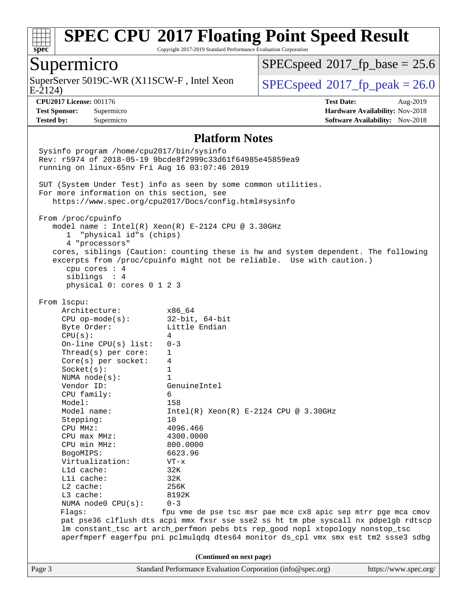

Copyright 2017-2019 Standard Performance Evaluation Corporation

### Supermicro

E-2124) SuperServer 5019C-WR (X11SCW-F, Intel Xeon  $SPEC speed^{\circ}2017$  fp\_peak = 26.0

 $SPECspeed*2017_fp\_base = 25.6$  $SPECspeed*2017_fp\_base = 25.6$ 

**[CPU2017 License:](http://www.spec.org/auto/cpu2017/Docs/result-fields.html#CPU2017License)** 001176 **[Test Date:](http://www.spec.org/auto/cpu2017/Docs/result-fields.html#TestDate)** Aug-2019 **[Test Sponsor:](http://www.spec.org/auto/cpu2017/Docs/result-fields.html#TestSponsor)** Supermicro **[Hardware Availability:](http://www.spec.org/auto/cpu2017/Docs/result-fields.html#HardwareAvailability)** Nov-2018 **[Tested by:](http://www.spec.org/auto/cpu2017/Docs/result-fields.html#Testedby)** Supermicro **Supermicro [Software Availability:](http://www.spec.org/auto/cpu2017/Docs/result-fields.html#SoftwareAvailability)** Nov-2018

#### **[Platform Notes](http://www.spec.org/auto/cpu2017/Docs/result-fields.html#PlatformNotes)**

Page 3 Standard Performance Evaluation Corporation [\(info@spec.org\)](mailto:info@spec.org) <https://www.spec.org/> Sysinfo program /home/cpu2017/bin/sysinfo Rev: r5974 of 2018-05-19 9bcde8f2999c33d61f64985e45859ea9 running on linux-65nv Fri Aug 16 03:07:46 2019 SUT (System Under Test) info as seen by some common utilities. For more information on this section, see <https://www.spec.org/cpu2017/Docs/config.html#sysinfo> From /proc/cpuinfo model name : Intel(R) Xeon(R) E-2124 CPU @ 3.30GHz 1 "physical id"s (chips) 4 "processors" cores, siblings (Caution: counting these is hw and system dependent. The following excerpts from /proc/cpuinfo might not be reliable. Use with caution.) cpu cores : 4 siblings : 4 physical 0: cores 0 1 2 3 From lscpu: Architecture: x86\_64 CPU op-mode(s): 32-bit, 64-bit Byte Order: Little Endian  $CPU(s):$  4 On-line CPU(s) list: 0-3 Thread(s) per core: 1 Core(s) per socket: 4 Socket(s): 1 NUMA node(s): 1 Vendor ID: GenuineIntel CPU family: 6 Model: 158<br>Model name: 1158  $Intel(R)$  Xeon(R) E-2124 CPU @ 3.30GHz Stepping: 10 CPU MHz: 4096.466 CPU max MHz: 4300.0000 CPU min MHz: 800.0000 BogoMIPS: 6623.96 Virtualization: VT-x L1d cache: 32K L1i cache: 32K L2 cache: 256K L3 cache: 8192K NUMA node0 CPU(s): 0-3 Flags: fpu vme de pse tsc msr pae mce cx8 apic sep mtrr pge mca cmov pat pse36 clflush dts acpi mmx fxsr sse sse2 ss ht tm pbe syscall nx pdpe1gb rdtscp lm constant\_tsc art arch\_perfmon pebs bts rep\_good nopl xtopology nonstop\_tsc aperfmperf eagerfpu pni pclmulqdq dtes64 monitor ds\_cpl vmx smx est tm2 ssse3 sdbg **(Continued on next page)**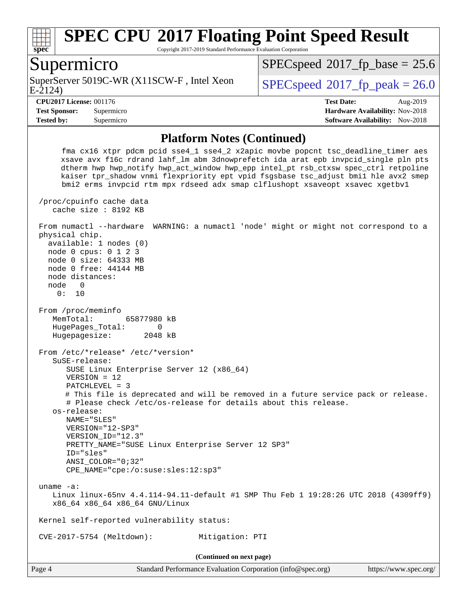

Copyright 2017-2019 Standard Performance Evaluation Corporation

### Supermicro

E-2124) SuperServer 5019C-WR (X11SCW-F, Intel Xeon  $SPEC speed^{\circ}2017$  fp\_peak = 26.0

 $SPECspeed*2017_fp\_base = 25.6$  $SPECspeed*2017_fp\_base = 25.6$ 

**[Tested by:](http://www.spec.org/auto/cpu2017/Docs/result-fields.html#Testedby)** Supermicro **Supermicro [Software Availability:](http://www.spec.org/auto/cpu2017/Docs/result-fields.html#SoftwareAvailability)** Nov-2018

**[CPU2017 License:](http://www.spec.org/auto/cpu2017/Docs/result-fields.html#CPU2017License)** 001176 **[Test Date:](http://www.spec.org/auto/cpu2017/Docs/result-fields.html#TestDate)** Aug-2019 **[Test Sponsor:](http://www.spec.org/auto/cpu2017/Docs/result-fields.html#TestSponsor)** Supermicro **[Hardware Availability:](http://www.spec.org/auto/cpu2017/Docs/result-fields.html#HardwareAvailability)** Nov-2018

#### **[Platform Notes \(Continued\)](http://www.spec.org/auto/cpu2017/Docs/result-fields.html#PlatformNotes)**

 fma cx16 xtpr pdcm pcid sse4\_1 sse4\_2 x2apic movbe popcnt tsc\_deadline\_timer aes xsave avx f16c rdrand lahf\_lm abm 3dnowprefetch ida arat epb invpcid\_single pln pts dtherm hwp hwp\_notify hwp\_act\_window hwp\_epp intel\_pt rsb\_ctxsw spec\_ctrl retpoline kaiser tpr\_shadow vnmi flexpriority ept vpid fsgsbase tsc\_adjust bmi1 hle avx2 smep bmi2 erms invpcid rtm mpx rdseed adx smap clflushopt xsaveopt xsavec xgetbv1 /proc/cpuinfo cache data cache size : 8192 KB From numactl --hardware WARNING: a numactl 'node' might or might not correspond to a physical chip. available: 1 nodes (0) node 0 cpus: 0 1 2 3 node 0 size: 64333 MB node 0 free: 44144 MB node distances: node 0 0: 10 From /proc/meminfo MemTotal: 65877980 kB HugePages\_Total: 0 Hugepagesize: 2048 kB From /etc/\*release\* /etc/\*version\* SuSE-release: SUSE Linux Enterprise Server 12 (x86\_64) VERSION = 12 PATCHLEVEL = 3 # This file is deprecated and will be removed in a future service pack or release. # Please check /etc/os-release for details about this release. os-release: NAME="SLES" VERSION="12-SP3" VERSION\_ID="12.3" PRETTY\_NAME="SUSE Linux Enterprise Server 12 SP3" ID="sles" ANSI\_COLOR="0;32" CPE\_NAME="cpe:/o:suse:sles:12:sp3" uname -a: Linux linux-65nv 4.4.114-94.11-default #1 SMP Thu Feb 1 19:28:26 UTC 2018 (4309ff9) x86\_64 x86\_64 x86\_64 GNU/Linux Kernel self-reported vulnerability status: CVE-2017-5754 (Meltdown): Mitigation: PTI **(Continued on next page)**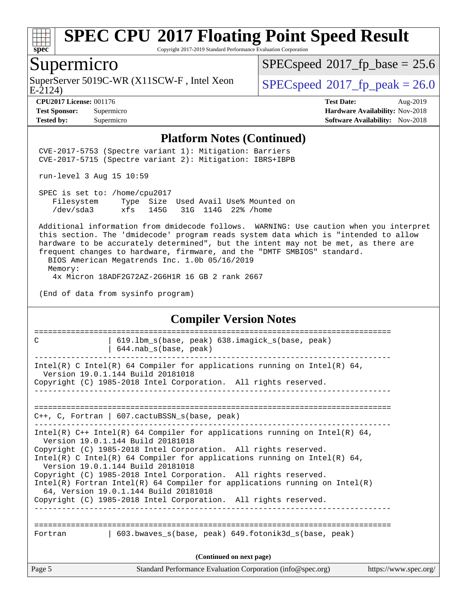

Copyright 2017-2019 Standard Performance Evaluation Corporation

### Supermicro

SuperServer 5019C-WR (X11SCW-F, Intel Xeon E-2124)

 $SPECspeed*2017_fp\_base = 25.6$  $SPECspeed*2017_fp\_base = 25.6$ 

 $SPECspeed*2017_f p\_peak = 26.0$  $SPECspeed*2017_f p\_peak = 26.0$ 

**[Tested by:](http://www.spec.org/auto/cpu2017/Docs/result-fields.html#Testedby)** Supermicro **Supermicro [Software Availability:](http://www.spec.org/auto/cpu2017/Docs/result-fields.html#SoftwareAvailability)** Nov-2018

**[CPU2017 License:](http://www.spec.org/auto/cpu2017/Docs/result-fields.html#CPU2017License)** 001176 **[Test Date:](http://www.spec.org/auto/cpu2017/Docs/result-fields.html#TestDate)** Aug-2019 **[Test Sponsor:](http://www.spec.org/auto/cpu2017/Docs/result-fields.html#TestSponsor)** Supermicro **[Hardware Availability:](http://www.spec.org/auto/cpu2017/Docs/result-fields.html#HardwareAvailability)** Nov-2018

#### **[Platform Notes \(Continued\)](http://www.spec.org/auto/cpu2017/Docs/result-fields.html#PlatformNotes)**

 CVE-2017-5753 (Spectre variant 1): Mitigation: Barriers CVE-2017-5715 (Spectre variant 2): Mitigation: IBRS+IBPB

run-level 3 Aug 15 10:59

 SPEC is set to: /home/cpu2017 Filesystem Type Size Used Avail Use% Mounted on /dev/sda3 xfs 145G 31G 114G 22% /home

 Additional information from dmidecode follows. WARNING: Use caution when you interpret this section. The 'dmidecode' program reads system data which is "intended to allow hardware to be accurately determined", but the intent may not be met, as there are frequent changes to hardware, firmware, and the "DMTF SMBIOS" standard.

 BIOS American Megatrends Inc. 1.0b 05/16/2019 Memory: 4x Micron 18ADF2G72AZ-2G6H1R 16 GB 2 rank 2667

(End of data from sysinfo program)

#### **[Compiler Version Notes](http://www.spec.org/auto/cpu2017/Docs/result-fields.html#CompilerVersionNotes)**

| C                        | 619.1bm s(base, peak) 638.imagick s(base, peak)<br>$644.nab_s(base, peak)$                                                                                                                                                                                                                                                                                                                                                                                                                                                                                         |                       |  |  |  |  |
|--------------------------|--------------------------------------------------------------------------------------------------------------------------------------------------------------------------------------------------------------------------------------------------------------------------------------------------------------------------------------------------------------------------------------------------------------------------------------------------------------------------------------------------------------------------------------------------------------------|-----------------------|--|--|--|--|
|                          | Intel(R) C Intel(R) 64 Compiler for applications running on Intel(R) 64,<br>Version 19.0.1.144 Build 20181018<br>Copyright (C) 1985-2018 Intel Corporation. All rights reserved.                                                                                                                                                                                                                                                                                                                                                                                   |                       |  |  |  |  |
|                          | C++, C, Fortran   607.cactuBSSN_s(base, peak)                                                                                                                                                                                                                                                                                                                                                                                                                                                                                                                      |                       |  |  |  |  |
|                          | Intel(R) $C++$ Intel(R) 64 Compiler for applications running on Intel(R) 64,<br>Version 19.0.1.144 Build 20181018<br>Copyright (C) 1985-2018 Intel Corporation. All rights reserved.<br>Intel(R) C Intel(R) 64 Compiler for applications running on Intel(R) 64,<br>Version 19.0.1.144 Build 20181018<br>Copyright (C) 1985-2018 Intel Corporation. All rights reserved.<br>Intel(R) Fortran Intel(R) 64 Compiler for applications running on Intel(R)<br>64, Version 19.0.1.144 Build 20181018<br>Copyright (C) 1985-2018 Intel Corporation. All rights reserved. |                       |  |  |  |  |
| Fortran                  | 603.bwaves s(base, peak) 649.fotonik3d s(base, peak)                                                                                                                                                                                                                                                                                                                                                                                                                                                                                                               |                       |  |  |  |  |
| (Continued on next page) |                                                                                                                                                                                                                                                                                                                                                                                                                                                                                                                                                                    |                       |  |  |  |  |
| Page 5                   | Standard Performance Evaluation Corporation (info@spec.org)                                                                                                                                                                                                                                                                                                                                                                                                                                                                                                        | https://www.spec.org/ |  |  |  |  |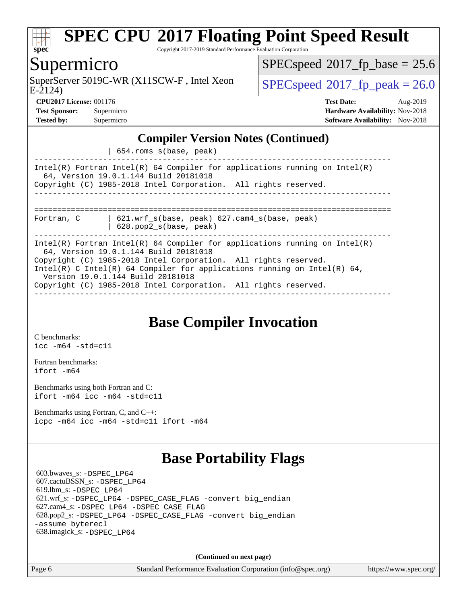

Copyright 2017-2019 Standard Performance Evaluation Corporation

### Supermicro

E-2124) SuperServer 5019C-WR (X11SCW-F, Intel Xeon  $SPEC speed^{\circ}2017$  fp\_peak = 26.0

 $SPECspeed*2017_fp\_base = 25.6$  $SPECspeed*2017_fp\_base = 25.6$ 

**[CPU2017 License:](http://www.spec.org/auto/cpu2017/Docs/result-fields.html#CPU2017License)** 001176 **[Test Date:](http://www.spec.org/auto/cpu2017/Docs/result-fields.html#TestDate)** Aug-2019 **[Test Sponsor:](http://www.spec.org/auto/cpu2017/Docs/result-fields.html#TestSponsor)** Supermicro **[Hardware Availability:](http://www.spec.org/auto/cpu2017/Docs/result-fields.html#HardwareAvailability)** Nov-2018 **[Tested by:](http://www.spec.org/auto/cpu2017/Docs/result-fields.html#Testedby)** Supermicro **[Software Availability:](http://www.spec.org/auto/cpu2017/Docs/result-fields.html#SoftwareAvailability)** Nov-2018

### **[Compiler Version Notes \(Continued\)](http://www.spec.org/auto/cpu2017/Docs/result-fields.html#CompilerVersionNotes)**

| 654.roms\_s(base, peak)

------------------------------------------------------------------------------ Intel(R) Fortran Intel(R) 64 Compiler for applications running on Intel(R) 64, Version 19.0.1.144 Build 20181018 Copyright (C) 1985-2018 Intel Corporation. All rights reserved. ------------------------------------------------------------------------------ ============================================================================== Fortran, C | 621.wrf\_s(base, peak) 627.cam4\_s(base, peak)

| 628.pop2\_s(base, peak)

------------------------------------------------------------------------------ Intel(R) Fortran Intel(R) 64 Compiler for applications running on Intel(R) 64, Version 19.0.1.144 Build 20181018 Copyright (C) 1985-2018 Intel Corporation. All rights reserved. Intel(R) C Intel(R) 64 Compiler for applications running on Intel(R) 64, Version 19.0.1.144 Build 20181018 Copyright (C) 1985-2018 Intel Corporation. All rights reserved. ------------------------------------------------------------------------------

# **[Base Compiler Invocation](http://www.spec.org/auto/cpu2017/Docs/result-fields.html#BaseCompilerInvocation)**

[C benchmarks](http://www.spec.org/auto/cpu2017/Docs/result-fields.html#Cbenchmarks): [icc -m64 -std=c11](http://www.spec.org/cpu2017/results/res2019q3/cpu2017-20190819-17126.flags.html#user_CCbase_intel_icc_64bit_c11_33ee0cdaae7deeeab2a9725423ba97205ce30f63b9926c2519791662299b76a0318f32ddfffdc46587804de3178b4f9328c46fa7c2b0cd779d7a61945c91cd35)

[Fortran benchmarks](http://www.spec.org/auto/cpu2017/Docs/result-fields.html#Fortranbenchmarks): [ifort -m64](http://www.spec.org/cpu2017/results/res2019q3/cpu2017-20190819-17126.flags.html#user_FCbase_intel_ifort_64bit_24f2bb282fbaeffd6157abe4f878425411749daecae9a33200eee2bee2fe76f3b89351d69a8130dd5949958ce389cf37ff59a95e7a40d588e8d3a57e0c3fd751)

[Benchmarks using both Fortran and C](http://www.spec.org/auto/cpu2017/Docs/result-fields.html#BenchmarksusingbothFortranandC): [ifort -m64](http://www.spec.org/cpu2017/results/res2019q3/cpu2017-20190819-17126.flags.html#user_CC_FCbase_intel_ifort_64bit_24f2bb282fbaeffd6157abe4f878425411749daecae9a33200eee2bee2fe76f3b89351d69a8130dd5949958ce389cf37ff59a95e7a40d588e8d3a57e0c3fd751) [icc -m64 -std=c11](http://www.spec.org/cpu2017/results/res2019q3/cpu2017-20190819-17126.flags.html#user_CC_FCbase_intel_icc_64bit_c11_33ee0cdaae7deeeab2a9725423ba97205ce30f63b9926c2519791662299b76a0318f32ddfffdc46587804de3178b4f9328c46fa7c2b0cd779d7a61945c91cd35)

[Benchmarks using Fortran, C, and C++:](http://www.spec.org/auto/cpu2017/Docs/result-fields.html#BenchmarksusingFortranCandCXX) [icpc -m64](http://www.spec.org/cpu2017/results/res2019q3/cpu2017-20190819-17126.flags.html#user_CC_CXX_FCbase_intel_icpc_64bit_4ecb2543ae3f1412ef961e0650ca070fec7b7afdcd6ed48761b84423119d1bf6bdf5cad15b44d48e7256388bc77273b966e5eb805aefd121eb22e9299b2ec9d9) [icc -m64 -std=c11](http://www.spec.org/cpu2017/results/res2019q3/cpu2017-20190819-17126.flags.html#user_CC_CXX_FCbase_intel_icc_64bit_c11_33ee0cdaae7deeeab2a9725423ba97205ce30f63b9926c2519791662299b76a0318f32ddfffdc46587804de3178b4f9328c46fa7c2b0cd779d7a61945c91cd35) [ifort -m64](http://www.spec.org/cpu2017/results/res2019q3/cpu2017-20190819-17126.flags.html#user_CC_CXX_FCbase_intel_ifort_64bit_24f2bb282fbaeffd6157abe4f878425411749daecae9a33200eee2bee2fe76f3b89351d69a8130dd5949958ce389cf37ff59a95e7a40d588e8d3a57e0c3fd751)

# **[Base Portability Flags](http://www.spec.org/auto/cpu2017/Docs/result-fields.html#BasePortabilityFlags)**

 603.bwaves\_s: [-DSPEC\\_LP64](http://www.spec.org/cpu2017/results/res2019q3/cpu2017-20190819-17126.flags.html#suite_basePORTABILITY603_bwaves_s_DSPEC_LP64) 607.cactuBSSN\_s: [-DSPEC\\_LP64](http://www.spec.org/cpu2017/results/res2019q3/cpu2017-20190819-17126.flags.html#suite_basePORTABILITY607_cactuBSSN_s_DSPEC_LP64) 619.lbm\_s: [-DSPEC\\_LP64](http://www.spec.org/cpu2017/results/res2019q3/cpu2017-20190819-17126.flags.html#suite_basePORTABILITY619_lbm_s_DSPEC_LP64) 621.wrf\_s: [-DSPEC\\_LP64](http://www.spec.org/cpu2017/results/res2019q3/cpu2017-20190819-17126.flags.html#suite_basePORTABILITY621_wrf_s_DSPEC_LP64) [-DSPEC\\_CASE\\_FLAG](http://www.spec.org/cpu2017/results/res2019q3/cpu2017-20190819-17126.flags.html#b621.wrf_s_baseCPORTABILITY_DSPEC_CASE_FLAG) [-convert big\\_endian](http://www.spec.org/cpu2017/results/res2019q3/cpu2017-20190819-17126.flags.html#user_baseFPORTABILITY621_wrf_s_convert_big_endian_c3194028bc08c63ac5d04de18c48ce6d347e4e562e8892b8bdbdc0214820426deb8554edfa529a3fb25a586e65a3d812c835984020483e7e73212c4d31a38223) 627.cam4\_s: [-DSPEC\\_LP64](http://www.spec.org/cpu2017/results/res2019q3/cpu2017-20190819-17126.flags.html#suite_basePORTABILITY627_cam4_s_DSPEC_LP64) [-DSPEC\\_CASE\\_FLAG](http://www.spec.org/cpu2017/results/res2019q3/cpu2017-20190819-17126.flags.html#b627.cam4_s_baseCPORTABILITY_DSPEC_CASE_FLAG) 628.pop2\_s: [-DSPEC\\_LP64](http://www.spec.org/cpu2017/results/res2019q3/cpu2017-20190819-17126.flags.html#suite_basePORTABILITY628_pop2_s_DSPEC_LP64) [-DSPEC\\_CASE\\_FLAG](http://www.spec.org/cpu2017/results/res2019q3/cpu2017-20190819-17126.flags.html#b628.pop2_s_baseCPORTABILITY_DSPEC_CASE_FLAG) [-convert big\\_endian](http://www.spec.org/cpu2017/results/res2019q3/cpu2017-20190819-17126.flags.html#user_baseFPORTABILITY628_pop2_s_convert_big_endian_c3194028bc08c63ac5d04de18c48ce6d347e4e562e8892b8bdbdc0214820426deb8554edfa529a3fb25a586e65a3d812c835984020483e7e73212c4d31a38223) [-assume byterecl](http://www.spec.org/cpu2017/results/res2019q3/cpu2017-20190819-17126.flags.html#user_baseFPORTABILITY628_pop2_s_assume_byterecl_7e47d18b9513cf18525430bbf0f2177aa9bf368bc7a059c09b2c06a34b53bd3447c950d3f8d6c70e3faf3a05c8557d66a5798b567902e8849adc142926523472) 638.imagick\_s: [-DSPEC\\_LP64](http://www.spec.org/cpu2017/results/res2019q3/cpu2017-20190819-17126.flags.html#suite_basePORTABILITY638_imagick_s_DSPEC_LP64)

**(Continued on next page)**

Page 6 Standard Performance Evaluation Corporation [\(info@spec.org\)](mailto:info@spec.org) <https://www.spec.org/>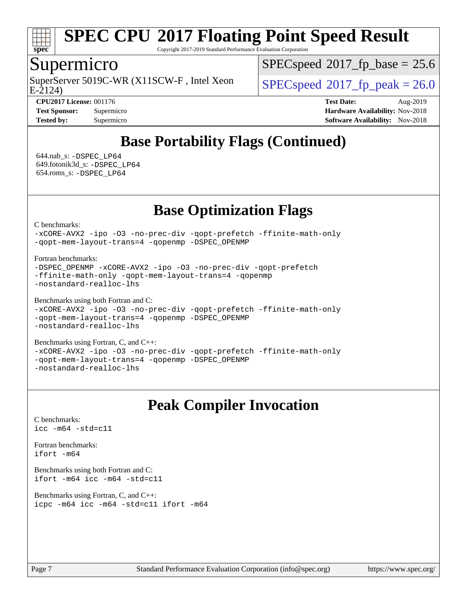

Copyright 2017-2019 Standard Performance Evaluation Corporation

### Supermicro

E-2124) SuperServer 5019C-WR (X11SCW-F, Intel Xeon  $SPEC speed^{\circ}2017$  fp\_peak = 26.0

 $SPECspeed*2017_fp\_base = 25.6$  $SPECspeed*2017_fp\_base = 25.6$ 

**[CPU2017 License:](http://www.spec.org/auto/cpu2017/Docs/result-fields.html#CPU2017License)** 001176 **[Test Date:](http://www.spec.org/auto/cpu2017/Docs/result-fields.html#TestDate)** Aug-2019 **[Test Sponsor:](http://www.spec.org/auto/cpu2017/Docs/result-fields.html#TestSponsor)** Supermicro **[Hardware Availability:](http://www.spec.org/auto/cpu2017/Docs/result-fields.html#HardwareAvailability)** Nov-2018 **[Tested by:](http://www.spec.org/auto/cpu2017/Docs/result-fields.html#Testedby)** Supermicro **Supermicro [Software Availability:](http://www.spec.org/auto/cpu2017/Docs/result-fields.html#SoftwareAvailability)** Nov-2018

# **[Base Portability Flags \(Continued\)](http://www.spec.org/auto/cpu2017/Docs/result-fields.html#BasePortabilityFlags)**

 644.nab\_s: [-DSPEC\\_LP64](http://www.spec.org/cpu2017/results/res2019q3/cpu2017-20190819-17126.flags.html#suite_basePORTABILITY644_nab_s_DSPEC_LP64) 649.fotonik3d\_s: [-DSPEC\\_LP64](http://www.spec.org/cpu2017/results/res2019q3/cpu2017-20190819-17126.flags.html#suite_basePORTABILITY649_fotonik3d_s_DSPEC_LP64) 654.roms\_s: [-DSPEC\\_LP64](http://www.spec.org/cpu2017/results/res2019q3/cpu2017-20190819-17126.flags.html#suite_basePORTABILITY654_roms_s_DSPEC_LP64)

# **[Base Optimization Flags](http://www.spec.org/auto/cpu2017/Docs/result-fields.html#BaseOptimizationFlags)**

[C benchmarks](http://www.spec.org/auto/cpu2017/Docs/result-fields.html#Cbenchmarks):

[-xCORE-AVX2](http://www.spec.org/cpu2017/results/res2019q3/cpu2017-20190819-17126.flags.html#user_CCbase_f-xCORE-AVX2) [-ipo](http://www.spec.org/cpu2017/results/res2019q3/cpu2017-20190819-17126.flags.html#user_CCbase_f-ipo) [-O3](http://www.spec.org/cpu2017/results/res2019q3/cpu2017-20190819-17126.flags.html#user_CCbase_f-O3) [-no-prec-div](http://www.spec.org/cpu2017/results/res2019q3/cpu2017-20190819-17126.flags.html#user_CCbase_f-no-prec-div) [-qopt-prefetch](http://www.spec.org/cpu2017/results/res2019q3/cpu2017-20190819-17126.flags.html#user_CCbase_f-qopt-prefetch) [-ffinite-math-only](http://www.spec.org/cpu2017/results/res2019q3/cpu2017-20190819-17126.flags.html#user_CCbase_f_finite_math_only_cb91587bd2077682c4b38af759c288ed7c732db004271a9512da14a4f8007909a5f1427ecbf1a0fb78ff2a814402c6114ac565ca162485bbcae155b5e4258871) [-qopt-mem-layout-trans=4](http://www.spec.org/cpu2017/results/res2019q3/cpu2017-20190819-17126.flags.html#user_CCbase_f-qopt-mem-layout-trans_fa39e755916c150a61361b7846f310bcdf6f04e385ef281cadf3647acec3f0ae266d1a1d22d972a7087a248fd4e6ca390a3634700869573d231a252c784941a8) [-qopenmp](http://www.spec.org/cpu2017/results/res2019q3/cpu2017-20190819-17126.flags.html#user_CCbase_qopenmp_16be0c44f24f464004c6784a7acb94aca937f053568ce72f94b139a11c7c168634a55f6653758ddd83bcf7b8463e8028bb0b48b77bcddc6b78d5d95bb1df2967) [-DSPEC\\_OPENMP](http://www.spec.org/cpu2017/results/res2019q3/cpu2017-20190819-17126.flags.html#suite_CCbase_DSPEC_OPENMP)

[Fortran benchmarks](http://www.spec.org/auto/cpu2017/Docs/result-fields.html#Fortranbenchmarks):

```
-DSPEC_OPENMP -xCORE-AVX2 -ipo -O3 -no-prec-div -qopt-prefetch
-ffinite-math-only -qopt-mem-layout-trans=4 -qopenmp
-nostandard-realloc-lhs
```
[Benchmarks using both Fortran and C](http://www.spec.org/auto/cpu2017/Docs/result-fields.html#BenchmarksusingbothFortranandC):

```
-xCORE-AVX2 -ipo -O3 -no-prec-div -qopt-prefetch -ffinite-math-only
-qopt-mem-layout-trans=4 -qopenmp -DSPEC_OPENMP
-nostandard-realloc-lhs
```
[Benchmarks using Fortran, C, and C++:](http://www.spec.org/auto/cpu2017/Docs/result-fields.html#BenchmarksusingFortranCandCXX) [-xCORE-AVX2](http://www.spec.org/cpu2017/results/res2019q3/cpu2017-20190819-17126.flags.html#user_CC_CXX_FCbase_f-xCORE-AVX2) [-ipo](http://www.spec.org/cpu2017/results/res2019q3/cpu2017-20190819-17126.flags.html#user_CC_CXX_FCbase_f-ipo) [-O3](http://www.spec.org/cpu2017/results/res2019q3/cpu2017-20190819-17126.flags.html#user_CC_CXX_FCbase_f-O3) [-no-prec-div](http://www.spec.org/cpu2017/results/res2019q3/cpu2017-20190819-17126.flags.html#user_CC_CXX_FCbase_f-no-prec-div) [-qopt-prefetch](http://www.spec.org/cpu2017/results/res2019q3/cpu2017-20190819-17126.flags.html#user_CC_CXX_FCbase_f-qopt-prefetch) [-ffinite-math-only](http://www.spec.org/cpu2017/results/res2019q3/cpu2017-20190819-17126.flags.html#user_CC_CXX_FCbase_f_finite_math_only_cb91587bd2077682c4b38af759c288ed7c732db004271a9512da14a4f8007909a5f1427ecbf1a0fb78ff2a814402c6114ac565ca162485bbcae155b5e4258871) [-qopt-mem-layout-trans=4](http://www.spec.org/cpu2017/results/res2019q3/cpu2017-20190819-17126.flags.html#user_CC_CXX_FCbase_f-qopt-mem-layout-trans_fa39e755916c150a61361b7846f310bcdf6f04e385ef281cadf3647acec3f0ae266d1a1d22d972a7087a248fd4e6ca390a3634700869573d231a252c784941a8) [-qopenmp](http://www.spec.org/cpu2017/results/res2019q3/cpu2017-20190819-17126.flags.html#user_CC_CXX_FCbase_qopenmp_16be0c44f24f464004c6784a7acb94aca937f053568ce72f94b139a11c7c168634a55f6653758ddd83bcf7b8463e8028bb0b48b77bcddc6b78d5d95bb1df2967) [-DSPEC\\_OPENMP](http://www.spec.org/cpu2017/results/res2019q3/cpu2017-20190819-17126.flags.html#suite_CC_CXX_FCbase_DSPEC_OPENMP) [-nostandard-realloc-lhs](http://www.spec.org/cpu2017/results/res2019q3/cpu2017-20190819-17126.flags.html#user_CC_CXX_FCbase_f_2003_std_realloc_82b4557e90729c0f113870c07e44d33d6f5a304b4f63d4c15d2d0f1fab99f5daaed73bdb9275d9ae411527f28b936061aa8b9c8f2d63842963b95c9dd6426b8a)

# **[Peak Compiler Invocation](http://www.spec.org/auto/cpu2017/Docs/result-fields.html#PeakCompilerInvocation)**

[C benchmarks](http://www.spec.org/auto/cpu2017/Docs/result-fields.html#Cbenchmarks): [icc -m64 -std=c11](http://www.spec.org/cpu2017/results/res2019q3/cpu2017-20190819-17126.flags.html#user_CCpeak_intel_icc_64bit_c11_33ee0cdaae7deeeab2a9725423ba97205ce30f63b9926c2519791662299b76a0318f32ddfffdc46587804de3178b4f9328c46fa7c2b0cd779d7a61945c91cd35)

[Fortran benchmarks](http://www.spec.org/auto/cpu2017/Docs/result-fields.html#Fortranbenchmarks): [ifort -m64](http://www.spec.org/cpu2017/results/res2019q3/cpu2017-20190819-17126.flags.html#user_FCpeak_intel_ifort_64bit_24f2bb282fbaeffd6157abe4f878425411749daecae9a33200eee2bee2fe76f3b89351d69a8130dd5949958ce389cf37ff59a95e7a40d588e8d3a57e0c3fd751)

[Benchmarks using both Fortran and C](http://www.spec.org/auto/cpu2017/Docs/result-fields.html#BenchmarksusingbothFortranandC): [ifort -m64](http://www.spec.org/cpu2017/results/res2019q3/cpu2017-20190819-17126.flags.html#user_CC_FCpeak_intel_ifort_64bit_24f2bb282fbaeffd6157abe4f878425411749daecae9a33200eee2bee2fe76f3b89351d69a8130dd5949958ce389cf37ff59a95e7a40d588e8d3a57e0c3fd751) [icc -m64 -std=c11](http://www.spec.org/cpu2017/results/res2019q3/cpu2017-20190819-17126.flags.html#user_CC_FCpeak_intel_icc_64bit_c11_33ee0cdaae7deeeab2a9725423ba97205ce30f63b9926c2519791662299b76a0318f32ddfffdc46587804de3178b4f9328c46fa7c2b0cd779d7a61945c91cd35)

[Benchmarks using Fortran, C, and C++:](http://www.spec.org/auto/cpu2017/Docs/result-fields.html#BenchmarksusingFortranCandCXX) [icpc -m64](http://www.spec.org/cpu2017/results/res2019q3/cpu2017-20190819-17126.flags.html#user_CC_CXX_FCpeak_intel_icpc_64bit_4ecb2543ae3f1412ef961e0650ca070fec7b7afdcd6ed48761b84423119d1bf6bdf5cad15b44d48e7256388bc77273b966e5eb805aefd121eb22e9299b2ec9d9) [icc -m64 -std=c11](http://www.spec.org/cpu2017/results/res2019q3/cpu2017-20190819-17126.flags.html#user_CC_CXX_FCpeak_intel_icc_64bit_c11_33ee0cdaae7deeeab2a9725423ba97205ce30f63b9926c2519791662299b76a0318f32ddfffdc46587804de3178b4f9328c46fa7c2b0cd779d7a61945c91cd35) [ifort -m64](http://www.spec.org/cpu2017/results/res2019q3/cpu2017-20190819-17126.flags.html#user_CC_CXX_FCpeak_intel_ifort_64bit_24f2bb282fbaeffd6157abe4f878425411749daecae9a33200eee2bee2fe76f3b89351d69a8130dd5949958ce389cf37ff59a95e7a40d588e8d3a57e0c3fd751)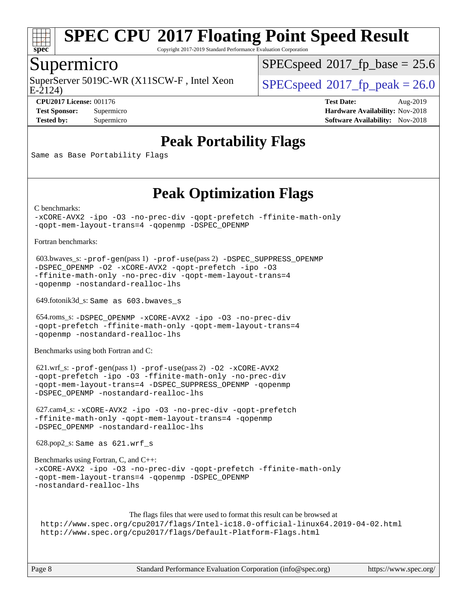

Copyright 2017-2019 Standard Performance Evaluation Corporation

### Supermicro

E-2124) SuperServer 5019C-WR (X11SCW-F, Intel Xeon  $SPEC speed^{\circ}2017$  fp\_peak = 26.0

 $SPECspeed^{\circledcirc}2017$  $SPECspeed^{\circledcirc}2017$  fp base = 25.6

**[CPU2017 License:](http://www.spec.org/auto/cpu2017/Docs/result-fields.html#CPU2017License)** 001176 **[Test Date:](http://www.spec.org/auto/cpu2017/Docs/result-fields.html#TestDate)** Aug-2019 **[Test Sponsor:](http://www.spec.org/auto/cpu2017/Docs/result-fields.html#TestSponsor)** Supermicro **[Hardware Availability:](http://www.spec.org/auto/cpu2017/Docs/result-fields.html#HardwareAvailability)** Nov-2018 **[Tested by:](http://www.spec.org/auto/cpu2017/Docs/result-fields.html#Testedby)** Supermicro **Supermicro [Software Availability:](http://www.spec.org/auto/cpu2017/Docs/result-fields.html#SoftwareAvailability)** Nov-2018

# **[Peak Portability Flags](http://www.spec.org/auto/cpu2017/Docs/result-fields.html#PeakPortabilityFlags)**

Same as Base Portability Flags

# **[Peak Optimization Flags](http://www.spec.org/auto/cpu2017/Docs/result-fields.html#PeakOptimizationFlags)**

[C benchmarks](http://www.spec.org/auto/cpu2017/Docs/result-fields.html#Cbenchmarks):

```
-xCORE-AVX2 -ipo -O3 -no-prec-div -qopt-prefetch -ffinite-math-only
-qopt-mem-layout-trans=4 -qopenmp -DSPEC_OPENMP
```
[Fortran benchmarks](http://www.spec.org/auto/cpu2017/Docs/result-fields.html#Fortranbenchmarks):

```
 603.bwaves_s: -prof-gen(pass 1) -prof-use(pass 2) -DSPEC_SUPPRESS_OPENMP
-DSPEC_OPENMP -O2 -xCORE-AVX2 -qopt-prefetch -ipo -O3
-ffinite-math-only -no-prec-div -qopt-mem-layout-trans=4
-qopenmp -nostandard-realloc-lhs
```
649.fotonik3d\_s: Same as 603.bwaves\_s

```
 654.roms_s: -DSPEC_OPENMP -xCORE-AVX2 -ipo -O3 -no-prec-div
-qopt-prefetch -ffinite-math-only -qopt-mem-layout-trans=4
-qopenmp -nostandard-realloc-lhs
```
[Benchmarks using both Fortran and C](http://www.spec.org/auto/cpu2017/Docs/result-fields.html#BenchmarksusingbothFortranandC):

```
 621.wrf_s: -prof-gen(pass 1) -prof-use(pass 2) -O2 -xCORE-AVX2
-qopt-prefetch -ipo -O3 -ffinite-math-only -no-prec-div
-qopt-mem-layout-trans=4 -DSPEC_SUPPRESS_OPENMP -qopenmp
-DSPEC_OPENMP -nostandard-realloc-lhs
```
 627.cam4\_s: [-xCORE-AVX2](http://www.spec.org/cpu2017/results/res2019q3/cpu2017-20190819-17126.flags.html#user_peakCOPTIMIZEFOPTIMIZE627_cam4_s_f-xCORE-AVX2) [-ipo](http://www.spec.org/cpu2017/results/res2019q3/cpu2017-20190819-17126.flags.html#user_peakCOPTIMIZEFOPTIMIZE627_cam4_s_f-ipo) [-O3](http://www.spec.org/cpu2017/results/res2019q3/cpu2017-20190819-17126.flags.html#user_peakCOPTIMIZEFOPTIMIZE627_cam4_s_f-O3) [-no-prec-div](http://www.spec.org/cpu2017/results/res2019q3/cpu2017-20190819-17126.flags.html#user_peakCOPTIMIZEFOPTIMIZE627_cam4_s_f-no-prec-div) [-qopt-prefetch](http://www.spec.org/cpu2017/results/res2019q3/cpu2017-20190819-17126.flags.html#user_peakCOPTIMIZEFOPTIMIZE627_cam4_s_f-qopt-prefetch) [-ffinite-math-only](http://www.spec.org/cpu2017/results/res2019q3/cpu2017-20190819-17126.flags.html#user_peakCOPTIMIZEFOPTIMIZE627_cam4_s_f_finite_math_only_cb91587bd2077682c4b38af759c288ed7c732db004271a9512da14a4f8007909a5f1427ecbf1a0fb78ff2a814402c6114ac565ca162485bbcae155b5e4258871) [-qopt-mem-layout-trans=4](http://www.spec.org/cpu2017/results/res2019q3/cpu2017-20190819-17126.flags.html#user_peakCOPTIMIZEFOPTIMIZE627_cam4_s_f-qopt-mem-layout-trans_fa39e755916c150a61361b7846f310bcdf6f04e385ef281cadf3647acec3f0ae266d1a1d22d972a7087a248fd4e6ca390a3634700869573d231a252c784941a8) [-qopenmp](http://www.spec.org/cpu2017/results/res2019q3/cpu2017-20190819-17126.flags.html#user_peakCOPTIMIZEFOPTIMIZE627_cam4_s_qopenmp_16be0c44f24f464004c6784a7acb94aca937f053568ce72f94b139a11c7c168634a55f6653758ddd83bcf7b8463e8028bb0b48b77bcddc6b78d5d95bb1df2967) [-DSPEC\\_OPENMP](http://www.spec.org/cpu2017/results/res2019q3/cpu2017-20190819-17126.flags.html#suite_peakCOPTIMIZEFOPTIMIZE627_cam4_s_DSPEC_OPENMP) [-nostandard-realloc-lhs](http://www.spec.org/cpu2017/results/res2019q3/cpu2017-20190819-17126.flags.html#user_peakEXTRA_FOPTIMIZE627_cam4_s_f_2003_std_realloc_82b4557e90729c0f113870c07e44d33d6f5a304b4f63d4c15d2d0f1fab99f5daaed73bdb9275d9ae411527f28b936061aa8b9c8f2d63842963b95c9dd6426b8a)

628.pop2\_s: Same as 621.wrf\_s

```
Benchmarks using Fortran, C, and C++: 
-xCORE-AVX2 -ipo -O3 -no-prec-div -qopt-prefetch -ffinite-math-only
-qopt-mem-layout-trans=4 -qopenmp -DSPEC_OPENMP
-nostandard-realloc-lhs
```
[The flags files that were used to format this result can be browsed at](tmsearch) <http://www.spec.org/cpu2017/flags/Intel-ic18.0-official-linux64.2019-04-02.html> <http://www.spec.org/cpu2017/flags/Default-Platform-Flags.html>